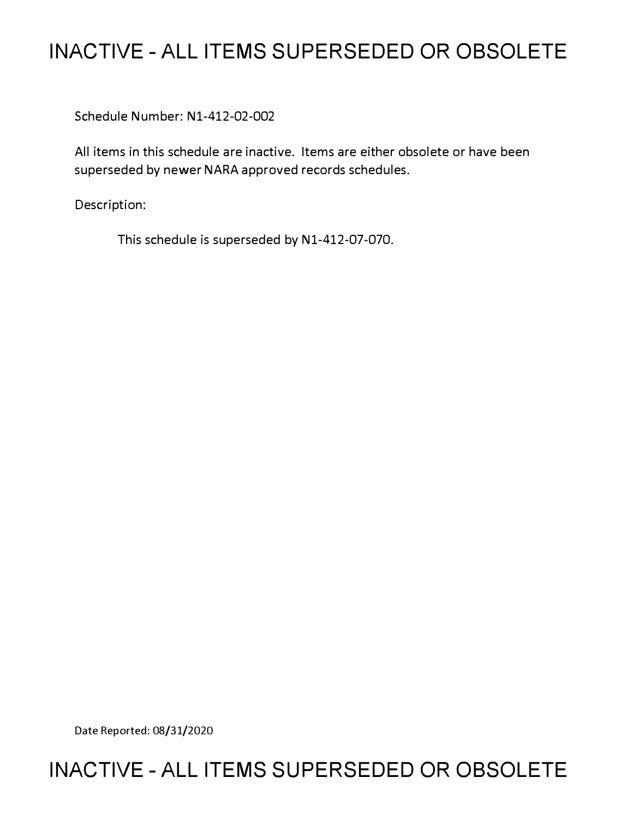# **INACTIVE - ALL ITEMS SUPERSEDED OR OBSOLETE**

Schedule Number: Nl-412-02-002

All items in this schedule are inactive. Items are either obsolete or have been superseded by newer NARA approved records schedules.

Description:

This schedule is superseded by Nl-412-07-070.

Date Reported: 08/31/2020

# **INACTIVE - ALL ITEMS SUPERSEDED OR OBSOLETE**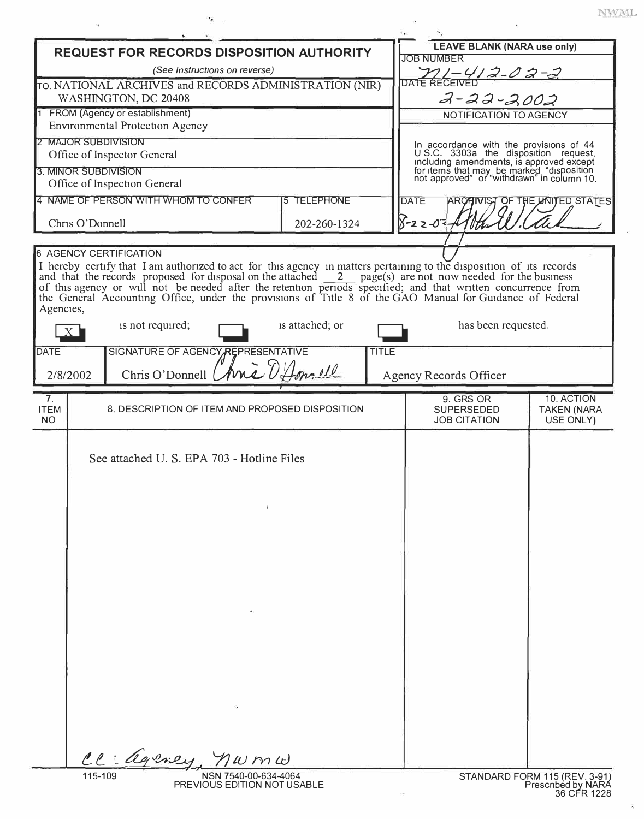|  |               | WML |  |
|--|---------------|-----|--|
|  | referenced to |     |  |

|                                                                                                                                                                                                                           |                                                         | 5.                                                                                                                                  |                                       |
|---------------------------------------------------------------------------------------------------------------------------------------------------------------------------------------------------------------------------|---------------------------------------------------------|-------------------------------------------------------------------------------------------------------------------------------------|---------------------------------------|
| <b>REQUEST FOR RECORDS DISPOSITION AUTHORITY</b>                                                                                                                                                                          | <b>LEAVE BLANK (NARA use only)</b><br><b>JOB NUMBER</b> |                                                                                                                                     |                                       |
| (See Instructions on reverse)                                                                                                                                                                                             | <u>711–412-02-2</u>                                     |                                                                                                                                     |                                       |
| TO. NATIONAL ARCHIVES and RECORDS ADMINISTRATION (NIR)                                                                                                                                                                    | DATE RECEIVEL                                           |                                                                                                                                     |                                       |
| WASHINGTON, DC 20408                                                                                                                                                                                                      | $2 - 22 - 2002$                                         |                                                                                                                                     |                                       |
| 1 FROM (Agency or establishment)                                                                                                                                                                                          |                                                         | NOTIFICATION TO AGENCY                                                                                                              |                                       |
| <b>Environmental Protection Agency</b>                                                                                                                                                                                    |                                                         |                                                                                                                                     |                                       |
| 2 MAJOR SUBDIVISION<br>Office of Inspector General                                                                                                                                                                        |                                                         | In accordance with the provisions of 44<br>U.S.C. 3303a the disposition request,                                                    |                                       |
| 3. MINOR SUBDIVISION                                                                                                                                                                                                      |                                                         | including amendments, is approved except<br>for items that may be marked "disposition<br>not approved" or "withdrawn" in column 10. |                                       |
| Office of Inspection General                                                                                                                                                                                              |                                                         |                                                                                                                                     |                                       |
| 4 NAME OF PERSON WITH WHOM TO CONFER                                                                                                                                                                                      | <b>5 TELEPHONE</b>                                      | <b>DATE</b>                                                                                                                         | <b>ARCAIVIST OF THE UNITED STATES</b> |
|                                                                                                                                                                                                                           |                                                         |                                                                                                                                     |                                       |
| Chris O'Donnell                                                                                                                                                                                                           | 202-260-1324                                            | 8-22-07<br>'V the                                                                                                                   |                                       |
| <b>6 AGENCY CERTIFICATION</b>                                                                                                                                                                                             |                                                         |                                                                                                                                     |                                       |
| I hereby certify that I am authorized to act for this agency in matters pertaining to the disposition of its records                                                                                                      |                                                         |                                                                                                                                     |                                       |
| and that the records proposed for disposal on the attached $\frac{2}{\sqrt{2}}$ page(s) are not now needed for the business                                                                                               |                                                         |                                                                                                                                     |                                       |
| of this agency or will not be needed after the retention periods specified; and that written concurrence from<br>the General Accounting Office, under the provisions of Title 8 of the GAO Manual for Guidance of Federal |                                                         |                                                                                                                                     |                                       |
| Agencies,                                                                                                                                                                                                                 |                                                         |                                                                                                                                     |                                       |
| is not required;<br>$X_{-}$                                                                                                                                                                                               | is attached; or                                         | has been requested.                                                                                                                 |                                       |
|                                                                                                                                                                                                                           |                                                         |                                                                                                                                     |                                       |
| SIGNATURE OF AGENCY <sub>A</sub> REPRESENTATIVE<br><b>DATE</b>                                                                                                                                                            | <b>TITLE</b>                                            |                                                                                                                                     |                                       |
| Chris O'Donnell<br>2/8/2002                                                                                                                                                                                               | Aria O'Amnell                                           | Agency Records Officer                                                                                                              |                                       |
| 7.                                                                                                                                                                                                                        |                                                         | 9. GRS OR                                                                                                                           | 10. ACTION                            |
| <b>ITEM</b><br>8. DESCRIPTION OF ITEM AND PROPOSED DISPOSITION                                                                                                                                                            |                                                         | <b>SUPERSEDED</b>                                                                                                                   | <b>TAKEN (NARA</b>                    |
| <b>NO</b>                                                                                                                                                                                                                 |                                                         | <b>JOB CITATION</b>                                                                                                                 | USE ONLY)                             |
|                                                                                                                                                                                                                           |                                                         |                                                                                                                                     |                                       |
| See attached U. S. EPA 703 - Hotline Files                                                                                                                                                                                |                                                         |                                                                                                                                     |                                       |
|                                                                                                                                                                                                                           |                                                         |                                                                                                                                     |                                       |
|                                                                                                                                                                                                                           |                                                         |                                                                                                                                     |                                       |
|                                                                                                                                                                                                                           |                                                         |                                                                                                                                     |                                       |
|                                                                                                                                                                                                                           |                                                         |                                                                                                                                     |                                       |
|                                                                                                                                                                                                                           |                                                         |                                                                                                                                     |                                       |
|                                                                                                                                                                                                                           |                                                         |                                                                                                                                     |                                       |
|                                                                                                                                                                                                                           |                                                         |                                                                                                                                     |                                       |
|                                                                                                                                                                                                                           |                                                         |                                                                                                                                     |                                       |
|                                                                                                                                                                                                                           |                                                         |                                                                                                                                     |                                       |
|                                                                                                                                                                                                                           |                                                         |                                                                                                                                     |                                       |
|                                                                                                                                                                                                                           |                                                         |                                                                                                                                     |                                       |
|                                                                                                                                                                                                                           |                                                         |                                                                                                                                     |                                       |
|                                                                                                                                                                                                                           |                                                         |                                                                                                                                     |                                       |
|                                                                                                                                                                                                                           |                                                         |                                                                                                                                     |                                       |
|                                                                                                                                                                                                                           |                                                         |                                                                                                                                     |                                       |
|                                                                                                                                                                                                                           |                                                         |                                                                                                                                     |                                       |
|                                                                                                                                                                                                                           |                                                         |                                                                                                                                     |                                       |
|                                                                                                                                                                                                                           |                                                         |                                                                                                                                     |                                       |
|                                                                                                                                                                                                                           |                                                         |                                                                                                                                     |                                       |
| Cl: agence<br>1 w m w                                                                                                                                                                                                     |                                                         |                                                                                                                                     |                                       |

 $\sim$   $\sim$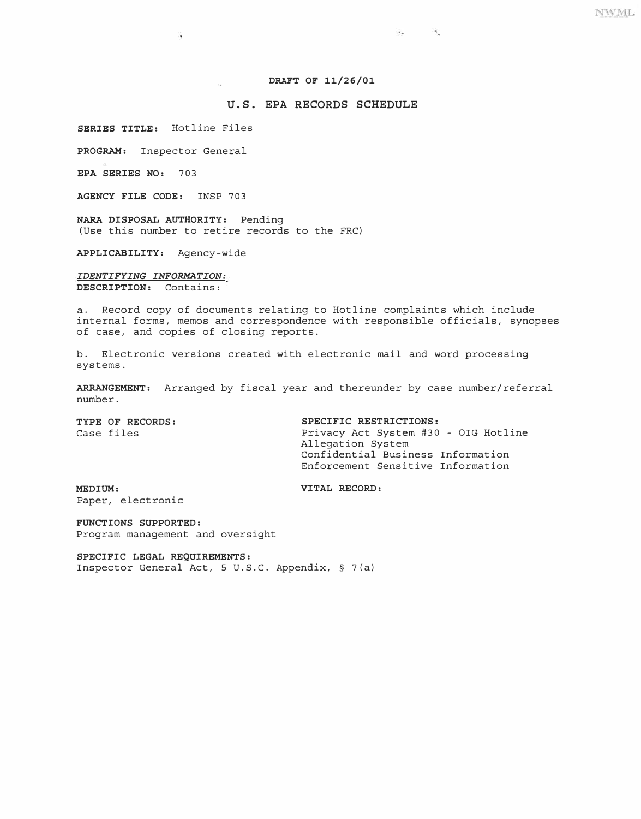# **DRAFT OF 11/26/01**

# **U.S. EPA RECORDS SCHEDULE**

**SERIES TITLE:** Hotline Files

浑

**PROGRAM:** Inspector General

**EPA SERIES NO:** 703

**AGENCY FILE CODE:** INSP 703

**NARA DISPOSAL AUTHORITY:** Pending (Use this number to retire records to the FRC)

**APPLICABILITY:** Agency-wide

*IDENTIFYING INFORMATION:*  **DESCRIPTION:** Contains:

a. Record copy of documents relating to Hotline complaints which include internal forms, memos and correspondence with responsible officials, synopses of case, and copies of closing reports.

b. Electronic versions created with electronic mail and word processing systems.

**ARRANGEMENT:** Arranged by fiscal year and thereunder by case number/referral number.

**TYPE OF RECORDS:** SPECIFIC RESTRICTIONS:<br>Case files and the set of privacy Act System #30

Privacy Act System #30 - OIG Hotline Allegation System Confidential Business Information Enforcement Sensitive Information

 $\mathcal{L}_{\mathcal{A}}$  , and  $\mathcal{L}_{\mathcal{A}}$ 

**MEDIUM: VITAL RECORD:** Paper, electronic

**FUNCTIONS SUPPORTED:**  Program management and oversight

**SPECIFIC LEGAL REQUIREMENTS:**  Inspector General Act, 5 U.S.C. Appendix, § 7(a)